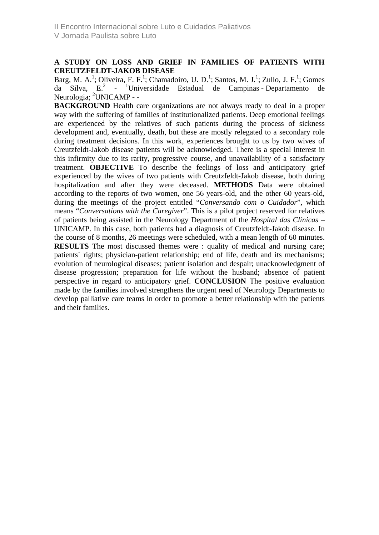## **A STUDY ON LOSS AND GRIEF IN FAMILIES OF PATIENTS WITH CREUTZFELDT-JAKOB DISEASE**

Barg, M. A.<sup>1</sup>; Oliveira, F. F.<sup>1</sup>; Chamadoiro, U. D.<sup>1</sup>; Santos, M. J.<sup>1</sup>; Zullo, J. F.<sup>1</sup>; Gomes da Silva, E.<sup>2</sup> - <sup>1</sup> Universidade Estadual de Campinas - Departamento de Neurologia; <sup>2</sup>UNICAMP - -

**BACKGROUND** Health care organizations are not always ready to deal in a proper way with the suffering of families of institutionalized patients. Deep emotional feelings are experienced by the relatives of such patients during the process of sickness development and, eventually, death, but these are mostly relegated to a secondary role during treatment decisions. In this work, experiences brought to us by two wives of Creutzfeldt-Jakob disease patients will be acknowledged. There is a special interest in this infirmity due to its rarity, progressive course, and unavailability of a satisfactory treatment. **OBJECTIVE** To describe the feelings of loss and anticipatory grief experienced by the wives of two patients with Creutzfeldt-Jakob disease, both during hospitalization and after they were deceased. **METHODS** Data were obtained according to the reports of two women, one 56 years-old, and the other 60 years-old, during the meetings of the project entitled "*Conversando com o Cuidador*", which means "*Conversations with the Caregiver*". This is a pilot project reserved for relatives of patients being assisted in the Neurology Department of the *Hospital das Clínicas* – UNICAMP. In this case, both patients had a diagnosis of Creutzfeldt-Jakob disease. In the course of 8 months, 26 meetings were scheduled, with a mean length of 60 minutes. **RESULTS** The most discussed themes were : quality of medical and nursing care; patients´ rights; physician-patient relationship; end of life, death and its mechanisms; evolution of neurological diseases; patient isolation and despair; unacknowledgment of disease progression; preparation for life without the husband; absence of patient perspective in regard to anticipatory grief. **CONCLUSION** The positive evaluation made by the families involved strengthens the urgent need of Neurology Departments to develop palliative care teams in order to promote a better relationship with the patients and their families.